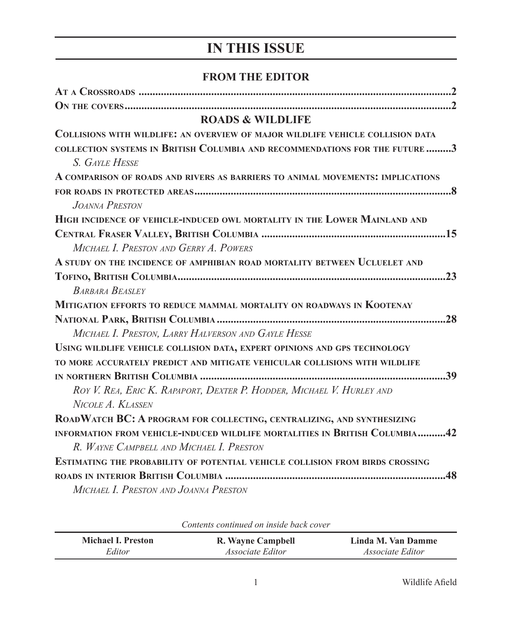# **IN THIS ISSUE**

#### **FROM THE EDITOR**

| <b>ROADS &amp; WILDLIFE</b>                                                    |
|--------------------------------------------------------------------------------|
| COLLISIONS WITH WILDLIFE: AN OVERVIEW OF MAJOR WILDLIFE VEHICLE COLLISION DATA |
| COLLECTION SYSTEMS IN BRITISH COLUMBIA AND RECOMMENDATIONS FOR THE FUTURE 3    |
| S. GAYLE HESSE                                                                 |
| A COMPARISON OF ROADS AND RIVERS AS BARRIERS TO ANIMAL MOVEMENTS: IMPLICATIONS |
|                                                                                |
| JOANNA PRESTON                                                                 |
| HIGH INCIDENCE OF VEHICLE-INDUCED OWL MORTALITY IN THE LOWER MAINLAND AND      |
|                                                                                |
| MICHAEL I. PRESTON AND GERRY A. POWERS                                         |
| A STUDY ON THE INCIDENCE OF AMPHIBIAN ROAD MORTALITY BETWEEN UCLUELET AND      |
|                                                                                |
| <b>BARBARA BEASLEY</b>                                                         |
| MITIGATION EFFORTS TO REDUCE MAMMAL MORTALITY ON ROADWAYS IN KOOTENAY          |
|                                                                                |
| MICHAEL I. PRESTON, LARRY HALVERSON AND GAYLE HESSE                            |
| USING WILDLIFE VEHICLE COLLISION DATA, EXPERT OPINIONS AND GPS TECHNOLOGY      |
| TO MORE ACCURATELY PREDICT AND MITIGATE VEHICULAR COLLISIONS WITH WILDLIFE     |
|                                                                                |
| ROY V. REA, ERIC K. RAPAPORT, DEXTER P. HODDER, MICHAEL V. HURLEY AND          |
| NICOLE A. KLASSEN                                                              |
| ROADWATCH BC: A PROGRAM FOR COLLECTING, CENTRALIZING, AND SYNTHESIZING         |
| INFORMATION FROM VEHICLE-INDUCED WILDLIFE MORTALITIES IN BRITISH COLUMBIA42    |
| R. WAYNE CAMPBELL AND MICHAEL I. PRESTON                                       |
| ESTIMATING THE PROBABILITY OF POTENTIAL VEHICLE COLLISION FROM BIRDS CROSSING  |
|                                                                                |
| MICHAEL I. PRESTON AND JOANNA PRESTON                                          |

| Coments communed on monic buck cover |                         |                         |  |
|--------------------------------------|-------------------------|-------------------------|--|
| <b>Michael I. Preston</b>            | R. Wayne Campbell       | Linda M. Van Damme      |  |
| Editor                               | <i>Associate Editor</i> | <i>Associate Editor</i> |  |

*Contents continued on inside back cover*